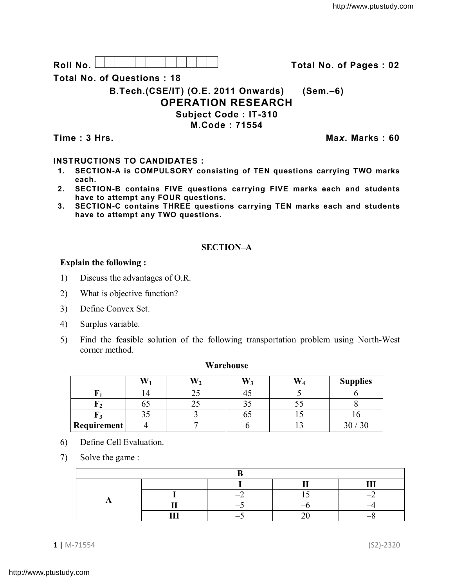Roll No. <u>And I And I Alexander Hermitide Collinson Total No.</u> of Pages : 02

**Total No. of Questions : 18**

**B.Tech.(CSE/IT) (O.E. 2011 Onwards) (Sem.–6)**

# **OPERATION RESEARCH**

**Subject Code : IT-310**

**M.Code : 71554**

**Time : 3 Hrs. Ma***x***. Marks : 60**

# **INSTRUCTIONS TO CANDIDATES :**

- **1. SECTION-A is COMPULSORY consisting of TEN questions carrying TWO marks each.**
- **2. SECTION-B contains FIVE questions carrying FIVE marks each and students have to attempt any FOUR questions.**
- **3. SECTION-C contains THREE questions carrying TEN marks each and students have to attempt any TWO questions.**

# **SECTION–A**

## **Explain the following :**

- 1) Discuss the advantages of O.R.
- 2) What is objective function?
- 3) Define Convex Set.
- 4) Surplus variable.
- 5) Find the feasible solution of the following transportation problem using North-West corner method.

#### **Warehouse**

|             | <b>TY</b> | W  | TT : | <b>Supplies</b> |
|-------------|-----------|----|------|-----------------|
|             |           |    |      |                 |
|             | υυ        |    | ັ∼   |                 |
|             | ں ر       | υ. |      |                 |
| Requirement |           |    |      |                 |

- 6) Define Cell Evaluation.
- 7) Solve the game :

|  |  |  |  | --- |
|--|--|--|--|-----|
|  |  |  |  |     |
|  |  |  |  |     |
|  |  |  |  |     |